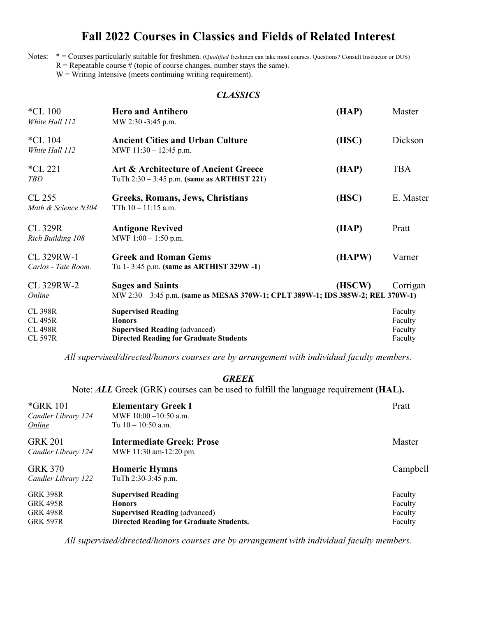# **Fall 2022 Courses in Classics and Fields of Related Interest**

Notes: \* = Courses particularly suitable for freshmen. (Q*ualified* freshmen can take most courses. Questions? Consult Instructor or DUS)  $R =$ Repeatable course # (topic of course changes, number stays the same).

 $W =$  Writing Intensive (meets continuing writing requirement).

# *CLASSICS*

| $*CL$ 100<br>White Hall 112                                          | <b>Hero and Antihero</b><br>MW 2:30 -3:45 p.m.                                                                                      | (HAP)  | Master                                   |
|----------------------------------------------------------------------|-------------------------------------------------------------------------------------------------------------------------------------|--------|------------------------------------------|
| *CL $104$<br>White Hall 112                                          | <b>Ancient Cities and Urban Culture</b><br>MWF $11:30 - 12:45$ p.m.                                                                 | (HSC)  | Dickson                                  |
| $*CL$ 221<br>TBD                                                     | Art & Architecture of Ancient Greece<br>TuTh $2:30 - 3:45$ p.m. (same as ARTHIST 221)                                               | (HAP)  | <b>TBA</b>                               |
| CL 255<br>Math & Science N304                                        | Greeks, Romans, Jews, Christians<br>TTh $10 - 11:15$ a.m.                                                                           | (HSC)  | E. Master                                |
| <b>CL 329R</b><br>Rich Building 108                                  | <b>Antigone Revived</b><br>MWF $1:00 - 1:50$ p.m.                                                                                   | (HAP)  | Pratt                                    |
| CL 329RW-1<br>Carlos - Tate Room.                                    | <b>Greek and Roman Gems</b><br>Tu 1-3:45 p.m. (same as ARTHIST 329W-1)                                                              | (HAPW) | Varner                                   |
| CL 329RW-2<br>Online                                                 | <b>Sages and Saints</b><br>MW 2:30 - 3:45 p.m. (same as MESAS 370W-1; CPLT 389W-1; IDS 385W-2; REL 370W-1)                          | (HSCW) | Corrigan                                 |
| <b>CL 398R</b><br><b>CL 495R</b><br><b>CL 498R</b><br><b>CL 597R</b> | <b>Supervised Reading</b><br><b>Honors</b><br><b>Supervised Reading (advanced)</b><br><b>Directed Reading for Graduate Students</b> |        | Faculty<br>Faculty<br>Faculty<br>Faculty |

*All supervised/directed/honors courses are by arrangement with individual faculty members.*

# *GREEK*

Note: *ALL* Greek (GRK) courses can be used to fulfill the language requirement **(HAL).**

| <i>*GRK</i> 101<br>Candler Library 124<br><b>Online</b>                  | <b>Elementary Greek I</b><br>MWF $10:00 - 10:50$ a.m.<br>Tu $10 - 10:50$ a.m.                                                        | Pratt                                    |
|--------------------------------------------------------------------------|--------------------------------------------------------------------------------------------------------------------------------------|------------------------------------------|
| <b>GRK 201</b><br>Candler Library 124                                    | <b>Intermediate Greek: Prose</b><br>MWF 11:30 am-12:20 pm.                                                                           | Master                                   |
| <b>GRK 370</b><br>Candler Library 122                                    | <b>Homeric Hymns</b><br>TuTh 2:30-3:45 p.m.                                                                                          | Campbell                                 |
| <b>GRK 398R</b><br><b>GRK 495R</b><br><b>GRK 498R</b><br><b>GRK 597R</b> | <b>Supervised Reading</b><br><b>Honors</b><br><b>Supervised Reading (advanced)</b><br><b>Directed Reading for Graduate Students.</b> | Faculty<br>Faculty<br>Faculty<br>Faculty |

*All supervised/directed/honors courses are by arrangement with individual faculty members.*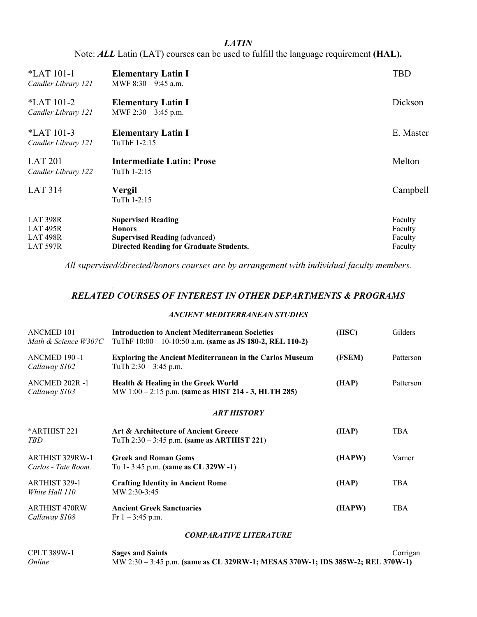## *LATIN*

Note: *ALL* Latin (LAT) courses can be used to fulfill the language requirement **(HAL).**

| *LAT 101-1<br>Candler Library 121                                     | <b>Elementary Latin I</b><br>MWF $8:30 - 9:45$ a.m.                                                                                  | <b>TBD</b>                               |
|-----------------------------------------------------------------------|--------------------------------------------------------------------------------------------------------------------------------------|------------------------------------------|
| $*LAT 101-2$<br>Candler Library 121                                   | <b>Elementary Latin I</b><br>MWF $2:30 - 3:45$ p.m.                                                                                  | Dickson                                  |
| $*LAT 101-3$<br>Candler Library 121                                   | <b>Elementary Latin I</b><br>TuThF 1-2:15                                                                                            | E. Master                                |
| <b>LAT 201</b><br>Candler Library 122                                 | Intermediate Latin: Prose<br>TuTh 1-2:15                                                                                             | Melton                                   |
| <b>LAT 314</b>                                                        | <b>Vergil</b><br>TuTh 1-2:15                                                                                                         | Campbell                                 |
| <b>LAT 398R</b><br>LAT <sub>495R</sub><br>LAT 498R<br><b>LAT 597R</b> | <b>Supervised Reading</b><br><b>Honors</b><br><b>Supervised Reading (advanced)</b><br><b>Directed Reading for Graduate Students.</b> | Faculty<br>Faculty<br>Faculty<br>Faculty |

*All supervised/directed/honors courses are by arrangement with individual faculty members.*

## *RELATED COURSES OF INTEREST IN OTHER DEPARTMENTS & PROGRAMS*

.

### *ANCIENT MEDITERRANEAN STUDIES*

| <b>ANCMED 101</b><br>Math & Science W307C | <b>Introduction to Ancient Mediterranean Societies</b><br>TuThF $10:00 - 10-10:50$ a.m. (same as JS 180-2, REL 110-2) | (HSC)  | Gilders    |
|-------------------------------------------|-----------------------------------------------------------------------------------------------------------------------|--------|------------|
| ANCMED 190 -1<br>Callaway S102            | <b>Exploring the Ancient Mediterranean in the Carlos Museum</b><br>TuTh $2:30 - 3:45$ p.m.                            | (FSEM) | Patterson  |
| ANCMED 202R -1<br>Callaway S103           | Health & Healing in the Greek World<br>MW 1:00 – 2:15 p.m. (same as HIST 214 - 3, HLTH 285)                           | (HAP)  | Patterson  |
|                                           | <b>ART HISTORY</b>                                                                                                    |        |            |
| *ARTHIST 221<br>TBD                       | Art & Architecture of Ancient Greece<br>TuTh $2:30 - 3:45$ p.m. (same as ARTHIST 221)                                 | (HAP)  | <b>TBA</b> |
| ARTHIST 329RW-1<br>Carlos - Tate Room.    | <b>Greek and Roman Gems</b><br>Tu 1-3:45 p.m. (same as $CL$ 329W -1)                                                  | (HAPW) | Varner     |
| ARTHIST 329-1<br>White Hall 110           | <b>Crafting Identity in Ancient Rome</b><br>MW 2:30-3:45                                                              | (HAP)  | <b>TBA</b> |
| ARTHIST 470RW<br>Callaway S108            | <b>Ancient Greek Sanctuaries</b><br>Fr $1 - 3:45$ p.m.                                                                | (HAPW) | <b>TBA</b> |
|                                           |                                                                                                                       |        |            |

#### *COMPARATIVE LITERATURE*

| <b>CPLT 389W-1</b> | <b>Sages and Saints</b>                                                        | Corrigan |
|--------------------|--------------------------------------------------------------------------------|----------|
| Online             | MW 2:30 - 3:45 p.m. (same as CL 329RW-1; MESAS 370W-1; IDS 385W-2; REL 370W-1) |          |